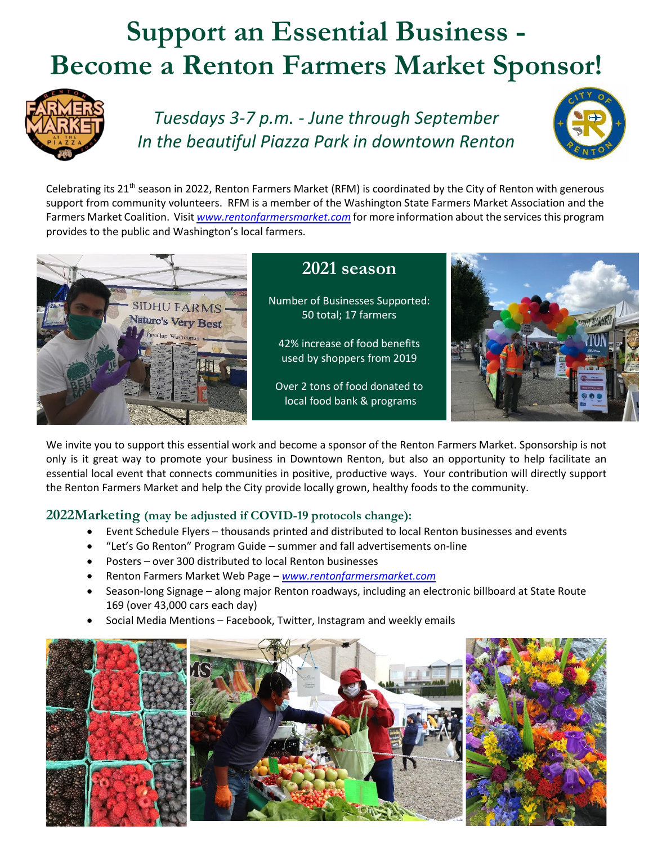# **Support an Essential Business - Become a Renton Farmers Market Sponsor!**



*Tuesdays 3-7 p.m. - June through September In the beautiful Piazza Park in downtown Renton*



Celebrating its  $21^{th}$  season in 2022, Renton Farmers Market (RFM) is coordinated by the City of Renton with generous support from community volunteers. RFM is a member of the Washington State Farmers Market Association and the Farmers Market Coalition. Visit *[www.rentonfarmersmarket.com](http://www.rentonfarmersmarket.com/)* for more information about the services this program provides to the public and Washington's local farmers.



### **2021 season**

Number of Businesses Supported: 50 total; 17 farmers

42% increase of food benefits used by shoppers from 2019

Over 2 tons of food donated to local food bank & programs



We invite you to support this essential work and become a sponsor of the Renton Farmers Market. Sponsorship is not only is it great way to promote your business in Downtown Renton, but also an opportunity to help facilitate an essential local event that connects communities in positive, productive ways. Your contribution will directly support the Renton Farmers Market and help the City provide locally grown, healthy foods to the community.

#### **2022Marketing (may be adjusted if COVID-19 protocols change):**

- Event Schedule Flyers thousands printed and distributed to local Renton businesses and events
- "Let's Go Renton" Program Guide summer and fall advertisements on-line
- Posters over 300 distributed to local Renton businesses
- Renton Farmers Market Web Page *[www.rentonfarmersmarket.com](http://www.rentonfarmersmarket.com/)*
- Season-long Signage along major Renton roadways, including an electronic billboard at State Route 169 (over 43,000 cars each day)
- Social Media Mentions Facebook, Twitter, Instagram and weekly emails

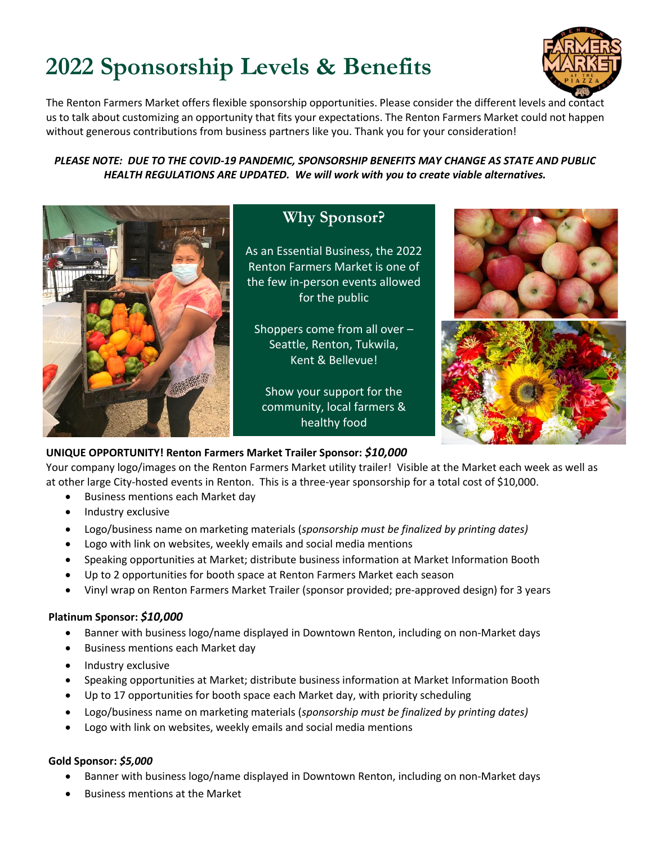## **2022 Sponsorship Levels & Benefits**



The Renton Farmers Market offers flexible sponsorship opportunities. Please consider the different levels and contact us to talk about customizing an opportunity that fits your expectations. The Renton Farmers Market could not happen without generous contributions from business partners like you. Thank you for your consideration!

*PLEASE NOTE: DUE TO THE COVID-19 PANDEMIC, SPONSORSHIP BENEFITS MAY CHANGE AS STATE AND PUBLIC HEALTH REGULATIONS ARE UPDATED. We will work with you to create viable alternatives.*



### **Why Sponsor?**

As an Essential Business, the 2022 Renton Farmers Market is one of the few in-person events allowed for the public

Shoppers come from all over – Seattle, Renton, Tukwila, Kent & Bellevue!

Show your support for the community, local farmers & healthy food



#### **UNIQUE OPPORTUNITY! Renton Farmers Market Trailer Sponsor:** *\$10,000*

Your company logo/images on the Renton Farmers Market utility trailer! Visible at the Market each week as well as at other large City-hosted events in Renton. This is a three-year sponsorship for a total cost of \$10,000.

- Business mentions each Market day
- Industry exclusive
- Logo/business name on marketing materials (*sponsorship must be finalized by printing dates)*
- Logo with link on websites, weekly emails and social media mentions
- Speaking opportunities at Market; distribute business information at Market Information Booth
- Up to 2 opportunities for booth space at Renton Farmers Market each season
- Vinyl wrap on Renton Farmers Market Trailer (sponsor provided; pre-approved design) for 3 years

#### **Platinum Sponsor:** *\$10,000*

- Banner with business logo/name displayed in Downtown Renton, including on non-Market days
- Business mentions each Market day
- Industry exclusive
- Speaking opportunities at Market; distribute business information at Market Information Booth
- Up to 17 opportunities for booth space each Market day, with priority scheduling
- Logo/business name on marketing materials (*sponsorship must be finalized by printing dates)*
- Logo with link on websites, weekly emails and social media mentions

#### **Gold Sponsor:** *\$5,000*

- Banner with business logo/name displayed in Downtown Renton, including on non-Market days
- Business mentions at the Market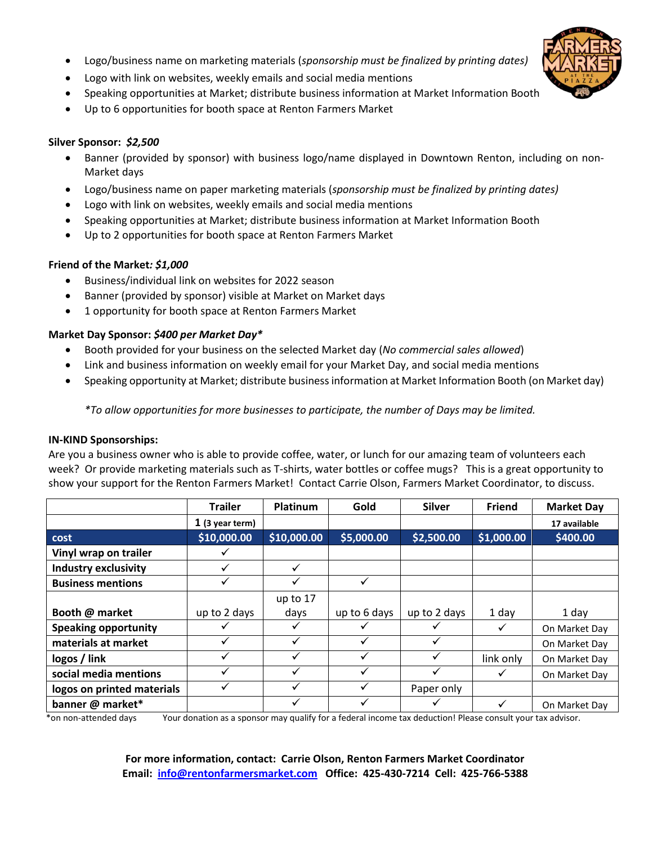- Logo/business name on marketing materials (*sponsorship must be finalized by printing dates)*
- Logo with link on websites, weekly emails and social media mentions
- Speaking opportunities at Market; distribute business information at Market Information Booth
- Up to 6 opportunities for booth space at Renton Farmers Market

#### **Silver Sponsor:** *\$2,500*

- Banner (provided by sponsor) with business logo/name displayed in Downtown Renton, including on non-Market days
- Logo/business name on paper marketing materials (*sponsorship must be finalized by printing dates)*
- Logo with link on websites, weekly emails and social media mentions
- Speaking opportunities at Market; distribute business information at Market Information Booth
- Up to 2 opportunities for booth space at Renton Farmers Market

#### **Friend of the Market***: \$1,000*

- Business/individual link on websites for 2022 season
- Banner (provided by sponsor) visible at Market on Market days
- 1 opportunity for booth space at Renton Farmers Market

#### **Market Day Sponsor:** *\$400 per Market Day\**

- Booth provided for your business on the selected Market day (*No commercial sales allowed*)
- Link and business information on weekly email for your Market Day, and social media mentions
- Speaking opportunity at Market; distribute business information at Market Information Booth (on Market day)

*\*To allow opportunities for more businesses to participate, the number of Days may be limited.*

#### **IN-KIND Sponsorships:**

Are you a business owner who is able to provide coffee, water, or lunch for our amazing team of volunteers each week? Or provide marketing materials such as T-shirts, water bottles or coffee mugs? This is a great opportunity to show your support for the Renton Farmers Market!Contact Carrie Olson, Farmers Market Coordinator, to discuss.

|                             | <b>Trailer</b>    | <b>Platinum</b> | Gold         | <b>Silver</b> | <b>Friend</b> | <b>Market Day</b> |
|-----------------------------|-------------------|-----------------|--------------|---------------|---------------|-------------------|
|                             | $1$ (3 year term) |                 |              |               |               | 17 available      |
| cost                        | \$10,000.00       | \$10,000.00     | \$5,000.00   | \$2,500.00    | \$1,000.00    | \$400.00          |
| Vinyl wrap on trailer       |                   |                 |              |               |               |                   |
| <b>Industry exclusivity</b> | ✓                 | $\checkmark$    |              |               |               |                   |
| <b>Business mentions</b>    |                   | ✓               |              |               |               |                   |
|                             |                   | up to 17        |              |               |               |                   |
| Booth @ market              | up to 2 days      | days            | up to 6 days | up to 2 days  | 1 day         | 1 day             |
| <b>Speaking opportunity</b> |                   | ✓               |              |               | ✓             | On Market Day     |
| materials at market         |                   | ✓               |              | ✓             |               | On Market Day     |
| logos / link                |                   | ✓               |              | ✓             | link only     | On Market Day     |
| social media mentions       |                   | ✓               |              | √             | ✓             | On Market Day     |
| logos on printed materials  |                   | ✓               |              | Paper only    |               |                   |
| banner @ market*            |                   |                 |              |               |               | On Market Day     |

\*on non-attended days Your donation as a sponsor may qualify for a federal income tax deduction! Please consult your tax advisor.

**For more information, contact: Carrie Olson, Renton Farmers Market Coordinator Email: [info@rentonfarmersmarket.com](mailto:info@rentonfarmersmarket.com) Office: 425-430-7214 Cell: 425-766-5388**

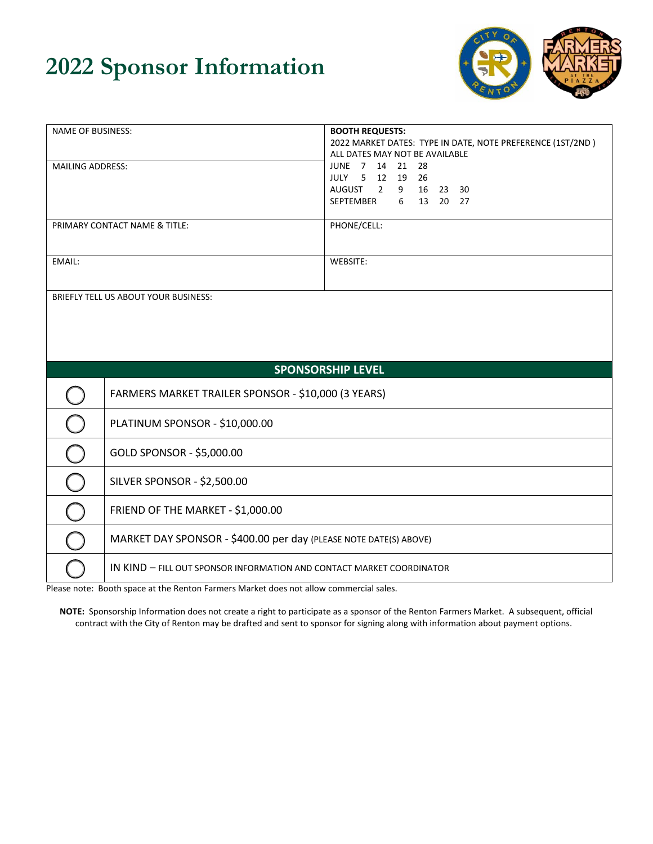## **2022 Sponsor Information**



| NAME OF BUSINESS:                    |                                                                       | <b>BOOTH REQUESTS:</b>                                     |  |  |  |
|--------------------------------------|-----------------------------------------------------------------------|------------------------------------------------------------|--|--|--|
|                                      |                                                                       | 2022 MARKET DATES: TYPE IN DATE, NOTE PREFERENCE (1ST/2ND) |  |  |  |
|                                      |                                                                       | ALL DATES MAY NOT BE AVAILABLE                             |  |  |  |
| <b>MAILING ADDRESS:</b>              |                                                                       | JUNE 7 14 21<br>- 28<br>JULY 5 12 19 26                    |  |  |  |
|                                      |                                                                       | AUGUST 2 9 16 23 30                                        |  |  |  |
|                                      |                                                                       | SEPTEMBER 6 13 20 27                                       |  |  |  |
|                                      |                                                                       |                                                            |  |  |  |
| PRIMARY CONTACT NAME & TITLE:        |                                                                       | PHONE/CELL:                                                |  |  |  |
|                                      |                                                                       |                                                            |  |  |  |
|                                      |                                                                       |                                                            |  |  |  |
| EMAIL:                               |                                                                       | WEBSITE:                                                   |  |  |  |
|                                      |                                                                       |                                                            |  |  |  |
| BRIEFLY TELL US ABOUT YOUR BUSINESS: |                                                                       |                                                            |  |  |  |
|                                      |                                                                       |                                                            |  |  |  |
|                                      |                                                                       |                                                            |  |  |  |
|                                      |                                                                       |                                                            |  |  |  |
|                                      |                                                                       |                                                            |  |  |  |
| <b>SPONSORSHIP LEVEL</b>             |                                                                       |                                                            |  |  |  |
|                                      |                                                                       |                                                            |  |  |  |
|                                      | FARMERS MARKET TRAILER SPONSOR - \$10,000 (3 YEARS)                   |                                                            |  |  |  |
|                                      |                                                                       |                                                            |  |  |  |
|                                      | PLATINUM SPONSOR - \$10,000.00                                        |                                                            |  |  |  |
|                                      | GOLD SPONSOR - \$5,000.00                                             |                                                            |  |  |  |
|                                      |                                                                       |                                                            |  |  |  |
|                                      | <b>SILVER SPONSOR - \$2,500.00</b>                                    |                                                            |  |  |  |
|                                      | FRIEND OF THE MARKET - \$1,000.00                                     |                                                            |  |  |  |
|                                      |                                                                       |                                                            |  |  |  |
|                                      | MARKET DAY SPONSOR - \$400.00 per day (PLEASE NOTE DATE(S) ABOVE)     |                                                            |  |  |  |
|                                      | IN KIND - FILL OUT SPONSOR INFORMATION AND CONTACT MARKET COORDINATOR |                                                            |  |  |  |

Please note: Booth space at the Renton Farmers Market does not allow commercial sales.

**NOTE:** Sponsorship Information does not create a right to participate as a sponsor of the Renton Farmers Market. A subsequent, official contract with the City of Renton may be drafted and sent to sponsor for signing along with information about payment options.